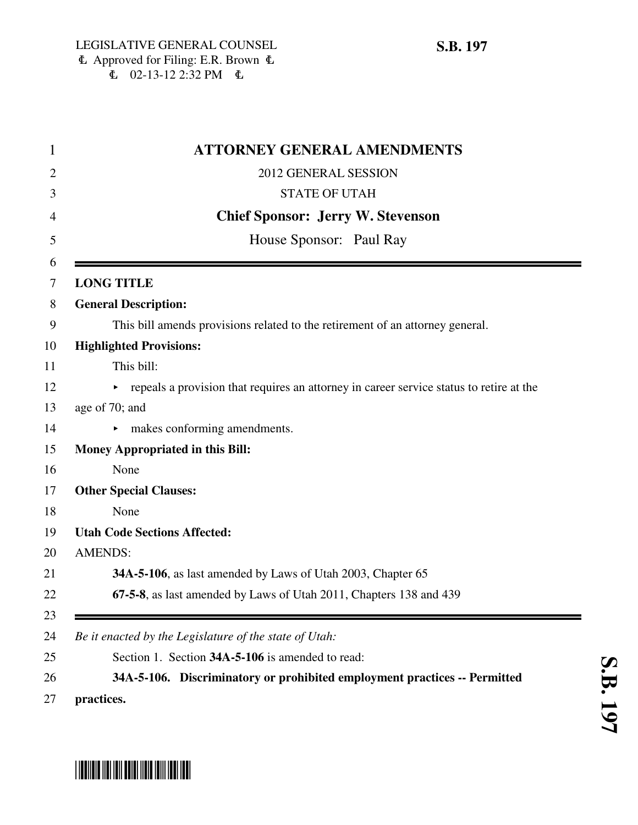|                   | <b>ATTORNEY GENERAL AMENDMENTS</b>                                                      |
|-------------------|-----------------------------------------------------------------------------------------|
|                   | 2012 GENERAL SESSION                                                                    |
|                   | <b>STATE OF UTAH</b>                                                                    |
|                   | <b>Chief Sponsor: Jerry W. Stevenson</b>                                                |
|                   | House Sponsor: Paul Ray                                                                 |
|                   |                                                                                         |
| <b>LONG TITLE</b> |                                                                                         |
|                   | <b>General Description:</b>                                                             |
|                   | This bill amends provisions related to the retirement of an attorney general.           |
|                   | <b>Highlighted Provisions:</b>                                                          |
|                   | This bill:                                                                              |
|                   | repeals a provision that requires an attorney in career service status to retire at the |
| age of 70; and    |                                                                                         |
|                   | $\blacktriangleright$ makes conforming amendments.                                      |
|                   | Money Appropriated in this Bill:                                                        |
| None              |                                                                                         |
|                   | <b>Other Special Clauses:</b>                                                           |
| None              |                                                                                         |
|                   | <b>Utah Code Sections Affected:</b>                                                     |
| <b>AMENDS:</b>    |                                                                                         |
|                   | 34A-5-106, as last amended by Laws of Utah 2003, Chapter 65                             |
|                   | 67-5-8, as last amended by Laws of Utah 2011, Chapters 138 and 439                      |
|                   |                                                                                         |
|                   | Be it enacted by the Legislature of the state of Utah:                                  |
|                   | Section 1. Section 34A-5-106 is amended to read:                                        |
|                   | 34A-5-106. Discriminatory or prohibited employment practices -- Permitted               |
| practices.        |                                                                                         |

# \*SB0197\*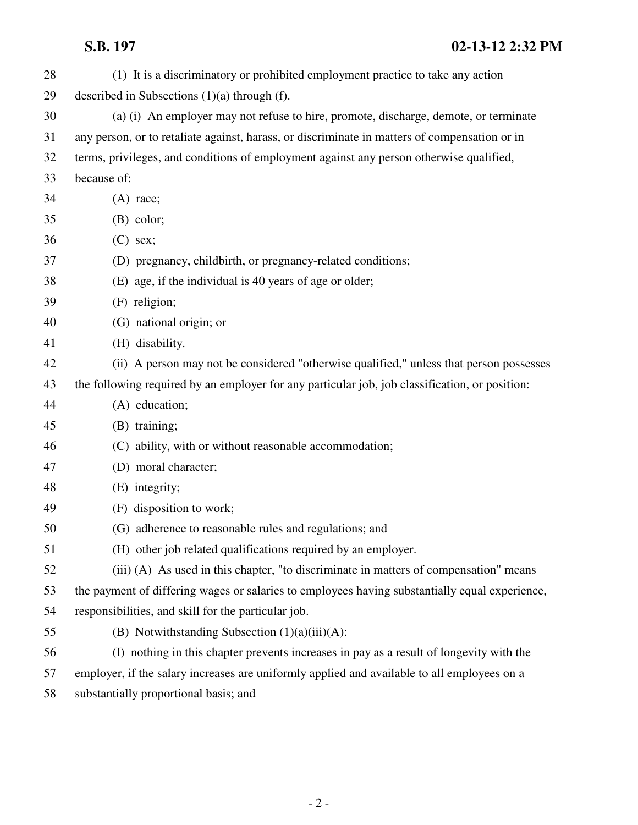| 28 | (1) It is a discriminatory or prohibited employment practice to take any action                |
|----|------------------------------------------------------------------------------------------------|
| 29 | described in Subsections $(1)(a)$ through $(f)$ .                                              |
| 30 | (a) (i) An employer may not refuse to hire, promote, discharge, demote, or terminate           |
| 31 | any person, or to retaliate against, harass, or discriminate in matters of compensation or in  |
| 32 | terms, privileges, and conditions of employment against any person otherwise qualified,        |
| 33 | because of:                                                                                    |
| 34 | $(A)$ race;                                                                                    |
| 35 | $(B)$ color;                                                                                   |
| 36 | $(C)$ sex;                                                                                     |
| 37 | (D) pregnancy, childbirth, or pregnancy-related conditions;                                    |
| 38 | (E) age, if the individual is 40 years of age or older;                                        |
| 39 | (F) religion;                                                                                  |
| 40 | (G) national origin; or                                                                        |
| 41 | (H) disability.                                                                                |
| 42 | (ii) A person may not be considered "otherwise qualified," unless that person possesses        |
| 43 | the following required by an employer for any particular job, job classification, or position: |
| 44 | (A) education;                                                                                 |
| 45 | (B) training;                                                                                  |
| 46 | (C) ability, with or without reasonable accommodation;                                         |
| 47 | (D) moral character;                                                                           |
| 48 | (E) integrity;                                                                                 |
| 49 | (F) disposition to work;                                                                       |
| 50 | (G) adherence to reasonable rules and regulations; and                                         |
| 51 | (H) other job related qualifications required by an employer.                                  |
| 52 | (iii) (A) As used in this chapter, "to discriminate in matters of compensation" means          |
| 53 | the payment of differing wages or salaries to employees having substantially equal experience, |
| 54 | responsibilities, and skill for the particular job.                                            |
| 55 | (B) Notwithstanding Subsection $(1)(a)(iii)(A)$ :                                              |
| 56 | (I) nothing in this chapter prevents increases in pay as a result of longevity with the        |
| 57 | employer, if the salary increases are uniformly applied and available to all employees on a    |

58 substantially proportional basis; and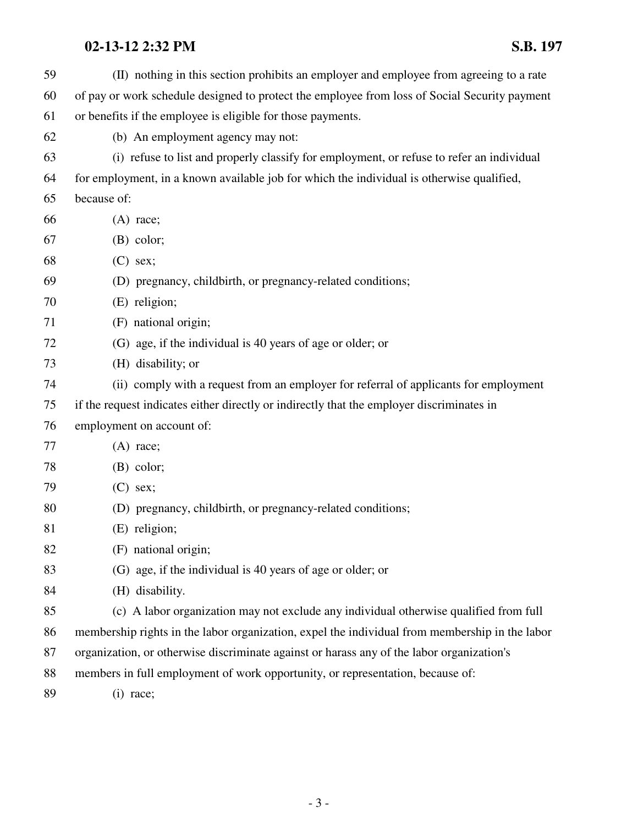| 59 | (II) nothing in this section prohibits an employer and employee from agreeing to a rate        |
|----|------------------------------------------------------------------------------------------------|
| 60 | of pay or work schedule designed to protect the employee from loss of Social Security payment  |
| 61 | or benefits if the employee is eligible for those payments.                                    |
| 62 | (b) An employment agency may not:                                                              |
| 63 | (i) refuse to list and properly classify for employment, or refuse to refer an individual      |
| 64 | for employment, in a known available job for which the individual is otherwise qualified,      |
| 65 | because of:                                                                                    |
| 66 | $(A)$ race;                                                                                    |
| 67 | $(B)$ color;                                                                                   |
| 68 | $(C)$ sex;                                                                                     |
| 69 | (D) pregnancy, childbirth, or pregnancy-related conditions;                                    |
| 70 | (E) religion;                                                                                  |
| 71 | (F) national origin;                                                                           |
| 72 | (G) age, if the individual is 40 years of age or older; or                                     |
| 73 | (H) disability; or                                                                             |
| 74 | (ii) comply with a request from an employer for referral of applicants for employment          |
| 75 | if the request indicates either directly or indirectly that the employer discriminates in      |
| 76 | employment on account of:                                                                      |
| 77 | $(A)$ race;                                                                                    |
| 78 | $(B)$ color;                                                                                   |
| 79 | $(C)$ sex;                                                                                     |
| 80 | (D) pregnancy, childbirth, or pregnancy-related conditions;                                    |
| 81 | (E) religion;                                                                                  |
| 82 | (F) national origin;                                                                           |
| 83 | (G) age, if the individual is 40 years of age or older; or                                     |
| 84 | (H) disability.                                                                                |
| 85 | (c) A labor organization may not exclude any individual otherwise qualified from full          |
| 86 | membership rights in the labor organization, expel the individual from membership in the labor |
| 87 | organization, or otherwise discriminate against or harass any of the labor organization's      |
| 88 | members in full employment of work opportunity, or representation, because of:                 |
| 89 | $(i)$ race;                                                                                    |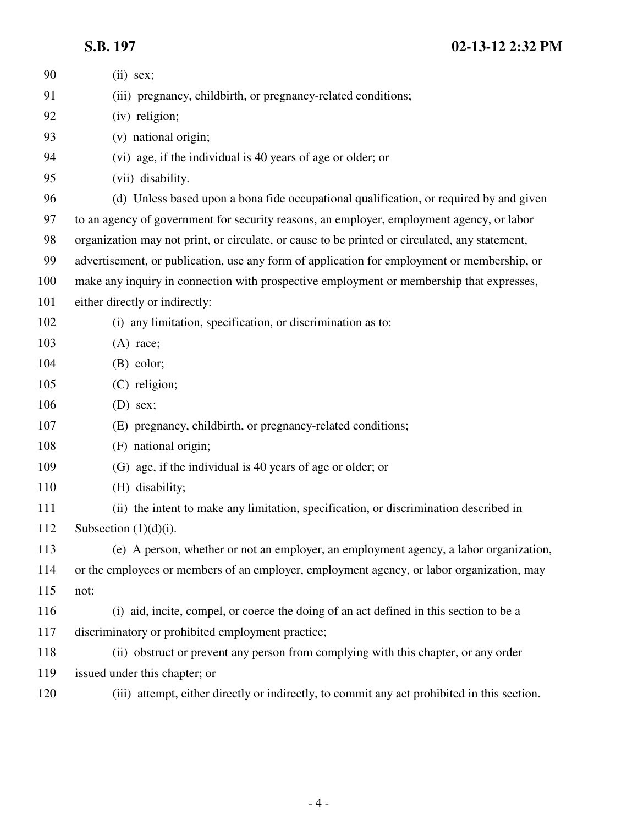### **S.B. 197 02-13-12 2:32 PM**

| 90  | $(ii)$ sex;                                                                                    |
|-----|------------------------------------------------------------------------------------------------|
| 91  | (iii) pregnancy, childbirth, or pregnancy-related conditions;                                  |
| 92  | (iv) religion;                                                                                 |
| 93  | (v) national origin;                                                                           |
| 94  | (vi) age, if the individual is 40 years of age or older; or                                    |
| 95  | (vii) disability.                                                                              |
| 96  | (d) Unless based upon a bona fide occupational qualification, or required by and given         |
| 97  | to an agency of government for security reasons, an employer, employment agency, or labor      |
| 98  | organization may not print, or circulate, or cause to be printed or circulated, any statement, |
| 99  | advertisement, or publication, use any form of application for employment or membership, or    |
| 100 | make any inquiry in connection with prospective employment or membership that expresses,       |
| 101 | either directly or indirectly:                                                                 |
| 102 | (i) any limitation, specification, or discrimination as to:                                    |
| 103 | $(A)$ race;                                                                                    |
| 104 | $(B)$ color;                                                                                   |
| 105 | (C) religion;                                                                                  |
| 106 | $(D)$ sex;                                                                                     |
| 107 | (E) pregnancy, childbirth, or pregnancy-related conditions;                                    |
| 108 | (F) national origin;                                                                           |
| 109 | (G) age, if the individual is 40 years of age or older; or                                     |
| 110 | (H) disability;                                                                                |
| 111 | (ii) the intent to make any limitation, specification, or discrimination described in          |
| 112 | Subsection $(1)(d)(i)$ .                                                                       |
| 113 | (e) A person, whether or not an employer, an employment agency, a labor organization,          |
| 114 | or the employees or members of an employer, employment agency, or labor organization, may      |
| 115 | not:                                                                                           |
| 116 | (i) aid, incite, compel, or coerce the doing of an act defined in this section to be a         |
| 117 | discriminatory or prohibited employment practice;                                              |
| 118 | (ii) obstruct or prevent any person from complying with this chapter, or any order             |
| 119 | issued under this chapter; or                                                                  |
| 120 | (iii) attempt, either directly or indirectly, to commit any act prohibited in this section.    |
|     |                                                                                                |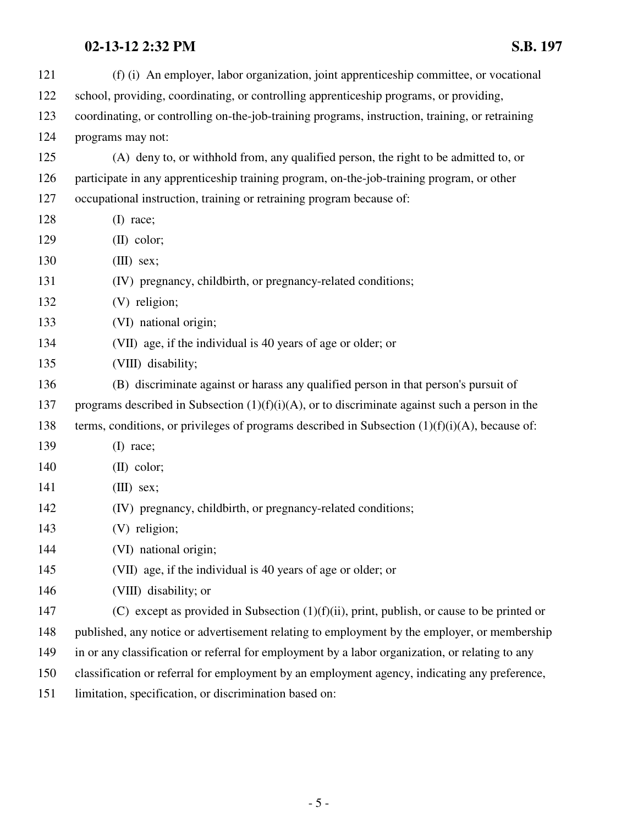| 121 | (f) (i) An employer, labor organization, joint apprenticeship committee, or vocational            |
|-----|---------------------------------------------------------------------------------------------------|
| 122 | school, providing, coordinating, or controlling apprenticeship programs, or providing,            |
| 123 | coordinating, or controlling on-the-job-training programs, instruction, training, or retraining   |
| 124 | programs may not:                                                                                 |
| 125 | (A) deny to, or withhold from, any qualified person, the right to be admitted to, or              |
| 126 | participate in any apprenticeship training program, on-the-job-training program, or other         |
| 127 | occupational instruction, training or retraining program because of:                              |
| 128 | $(I)$ race;                                                                                       |
| 129 | $(II)$ color;                                                                                     |
| 130 | $(III)$ sex;                                                                                      |
| 131 | (IV) pregnancy, childbirth, or pregnancy-related conditions;                                      |
| 132 | (V) religion;                                                                                     |
| 133 | (VI) national origin;                                                                             |
| 134 | (VII) age, if the individual is 40 years of age or older; or                                      |
| 135 | (VIII) disability;                                                                                |
| 136 | (B) discriminate against or harass any qualified person in that person's pursuit of               |
| 137 | programs described in Subsection $(1)(f)(i)(A)$ , or to discriminate against such a person in the |
| 138 | terms, conditions, or privileges of programs described in Subsection $(1)(f)(i)(A)$ , because of: |
| 139 | $(I)$ race;                                                                                       |
| 140 | $(II)$ color;                                                                                     |
| 141 | $(III)$ sex;                                                                                      |
| 142 | (IV) pregnancy, childbirth, or pregnancy-related conditions;                                      |
| 143 | (V) religion;                                                                                     |
| 144 | (VI) national origin;                                                                             |
| 145 | (VII) age, if the individual is 40 years of age or older; or                                      |
| 146 | (VIII) disability; or                                                                             |
| 147 | (C) except as provided in Subsection $(1)(f)(ii)$ , print, publish, or cause to be printed or     |
| 148 | published, any notice or advertisement relating to employment by the employer, or membership      |
| 149 | in or any classification or referral for employment by a labor organization, or relating to any   |
| 150 | classification or referral for employment by an employment agency, indicating any preference,     |
| 151 | limitation, specification, or discrimination based on:                                            |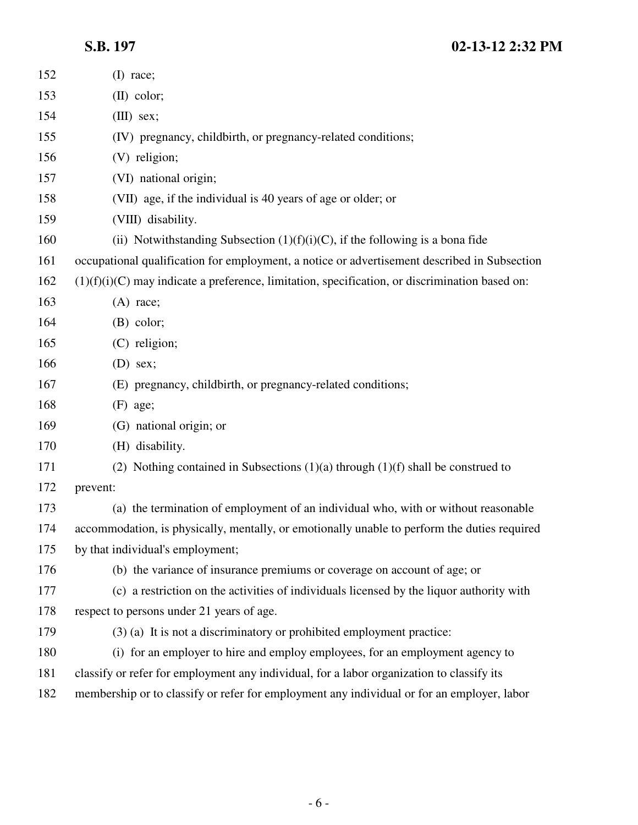# **S.B. 197 02-13-12 2:32 PM**

| 152 | $(I)$ race;                                                                                      |
|-----|--------------------------------------------------------------------------------------------------|
| 153 | $(II)$ color;                                                                                    |
| 154 | $(III)$ sex;                                                                                     |
| 155 | (IV) pregnancy, childbirth, or pregnancy-related conditions;                                     |
| 156 | (V) religion;                                                                                    |
| 157 | (VI) national origin;                                                                            |
| 158 | (VII) age, if the individual is 40 years of age or older; or                                     |
| 159 | (VIII) disability.                                                                               |
| 160 | (ii) Notwithstanding Subsection $(1)(f)(i)(C)$ , if the following is a bona fide                 |
| 161 | occupational qualification for employment, a notice or advertisement described in Subsection     |
| 162 | $(1)(f)(i)(C)$ may indicate a preference, limitation, specification, or discrimination based on: |
| 163 | $(A)$ race;                                                                                      |
| 164 | $(B)$ color;                                                                                     |
| 165 | (C) religion;                                                                                    |
| 166 | $(D)$ sex;                                                                                       |
| 167 | (E) pregnancy, childbirth, or pregnancy-related conditions;                                      |
| 168 | $(F)$ age;                                                                                       |
| 169 | (G) national origin; or                                                                          |
| 170 | (H) disability.                                                                                  |
| 171 | (2) Nothing contained in Subsections $(1)(a)$ through $(1)(f)$ shall be construed to             |
| 172 | prevent:                                                                                         |
| 173 | (a) the termination of employment of an individual who, with or without reasonable               |
| 174 | accommodation, is physically, mentally, or emotionally unable to perform the duties required     |
| 175 | by that individual's employment;                                                                 |
| 176 | (b) the variance of insurance premiums or coverage on account of age; or                         |
| 177 | (c) a restriction on the activities of individuals licensed by the liquor authority with         |
| 178 | respect to persons under 21 years of age.                                                        |
| 179 | $(3)$ (a) It is not a discriminatory or prohibited employment practice:                          |
| 180 | (i) for an employer to hire and employ employees, for an employment agency to                    |
| 181 | classify or refer for employment any individual, for a labor organization to classify its        |
| 182 | membership or to classify or refer for employment any individual or for an employer, labor       |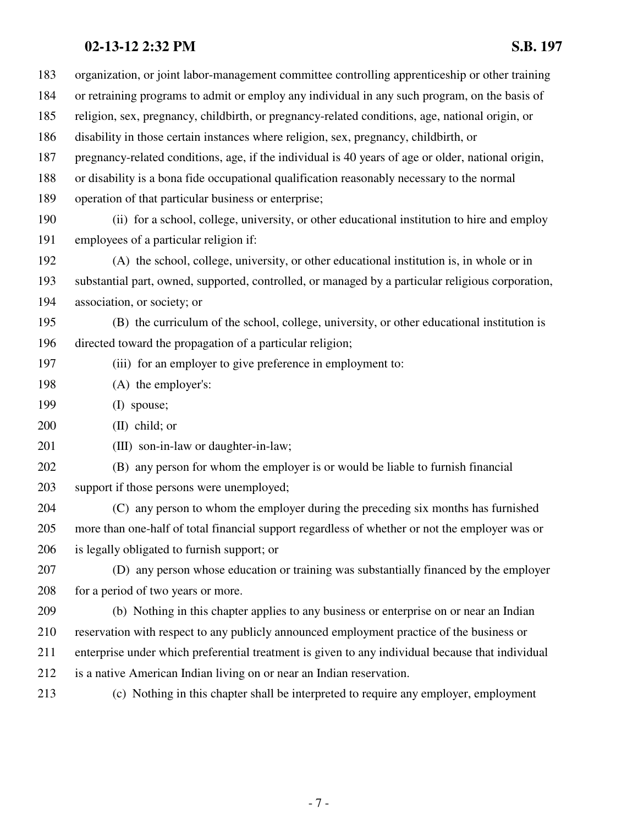| 183 | organization, or joint labor-management committee controlling apprenticeship or other training     |
|-----|----------------------------------------------------------------------------------------------------|
| 184 | or retraining programs to admit or employ any individual in any such program, on the basis of      |
| 185 | religion, sex, pregnancy, childbirth, or pregnancy-related conditions, age, national origin, or    |
| 186 | disability in those certain instances where religion, sex, pregnancy, childbirth, or               |
| 187 | pregnancy-related conditions, age, if the individual is 40 years of age or older, national origin, |
| 188 | or disability is a bona fide occupational qualification reasonably necessary to the normal         |
| 189 | operation of that particular business or enterprise;                                               |
| 190 | (ii) for a school, college, university, or other educational institution to hire and employ        |
| 191 | employees of a particular religion if:                                                             |
| 192 | (A) the school, college, university, or other educational institution is, in whole or in           |
| 193 | substantial part, owned, supported, controlled, or managed by a particular religious corporation,  |
| 194 | association, or society; or                                                                        |
| 195 | (B) the curriculum of the school, college, university, or other educational institution is         |
| 196 | directed toward the propagation of a particular religion;                                          |
| 197 | (iii) for an employer to give preference in employment to:                                         |
| 198 | (A) the employer's:                                                                                |
| 199 | (I) spouse;                                                                                        |
| 200 | $(II)$ child; or                                                                                   |
| 201 | (III) son-in-law or daughter-in-law;                                                               |
| 202 | (B) any person for whom the employer is or would be liable to furnish financial                    |
| 203 | support if those persons were unemployed;                                                          |
| 204 | (C) any person to whom the employer during the preceding six months has furnished                  |
| 205 | more than one-half of total financial support regardless of whether or not the employer was or     |
| 206 | is legally obligated to furnish support; or                                                        |
| 207 | (D) any person whose education or training was substantially financed by the employer              |
| 208 | for a period of two years or more.                                                                 |
| 209 | (b) Nothing in this chapter applies to any business or enterprise on or near an Indian             |
| 210 | reservation with respect to any publicly announced employment practice of the business or          |
| 211 | enterprise under which preferential treatment is given to any individual because that individual   |
| 212 | is a native American Indian living on or near an Indian reservation.                               |
| 213 | (c) Nothing in this chapter shall be interpreted to require any employer, employment               |
|     |                                                                                                    |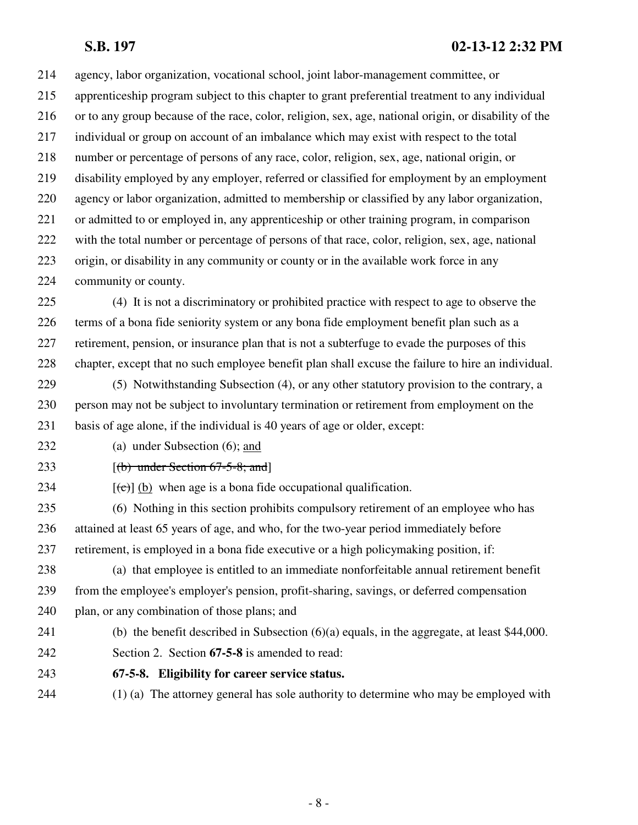#### **S.B. 197 02-13-12 2:32 PM**

214 agency, labor organization, vocational school, joint labor-management committee, or 215 apprenticeship program subject to this chapter to grant preferential treatment to any individual 216 or to any group because of the race, color, religion, sex, age, national origin, or disability of the 217 individual or group on account of an imbalance which may exist with respect to the total 218 number or percentage of persons of any race, color, religion, sex, age, national origin, or 219 disability employed by any employer, referred or classified for employment by an employment 220 agency or labor organization, admitted to membership or classified by any labor organization, 221 or admitted to or employed in, any apprenticeship or other training program, in comparison 222 with the total number or percentage of persons of that race, color, religion, sex, age, national 223 origin, or disability in any community or county or in the available work force in any 224 community or county.

225 (4) It is not a discriminatory or prohibited practice with respect to age to observe the 226 terms of a bona fide seniority system or any bona fide employment benefit plan such as a 227 retirement, pension, or insurance plan that is not a subterfuge to evade the purposes of this 228 chapter, except that no such employee benefit plan shall excuse the failure to hire an individual.

- 229 (5) Notwithstanding Subsection (4), or any other statutory provision to the contrary, a 230 person may not be subject to involuntary termination or retirement from employment on the 231 basis of age alone, if the individual is 40 years of age or older, except:
- 232 (a) under Subsection (6); and
- 233  $[(b)$  under Section 67-5-8; and

234  $[(e)]$  (b) when age is a bona fide occupational qualification.

235 (6) Nothing in this section prohibits compulsory retirement of an employee who has 236 attained at least 65 years of age, and who, for the two-year period immediately before 237 retirement, is employed in a bona fide executive or a high policymaking position, if:

238 (a) that employee is entitled to an immediate nonforfeitable annual retirement benefit 239 from the employee's employer's pension, profit-sharing, savings, or deferred compensation 240 plan, or any combination of those plans; and

- 241 (b) the benefit described in Subsection (6)(a) equals, in the aggregate, at least \$44,000.
- 242 Section 2. Section **67-5-8** is amended to read:
- 243 **67-5-8. Eligibility for career service status.**
- 244 (1) (a) The attorney general has sole authority to determine who may be employed with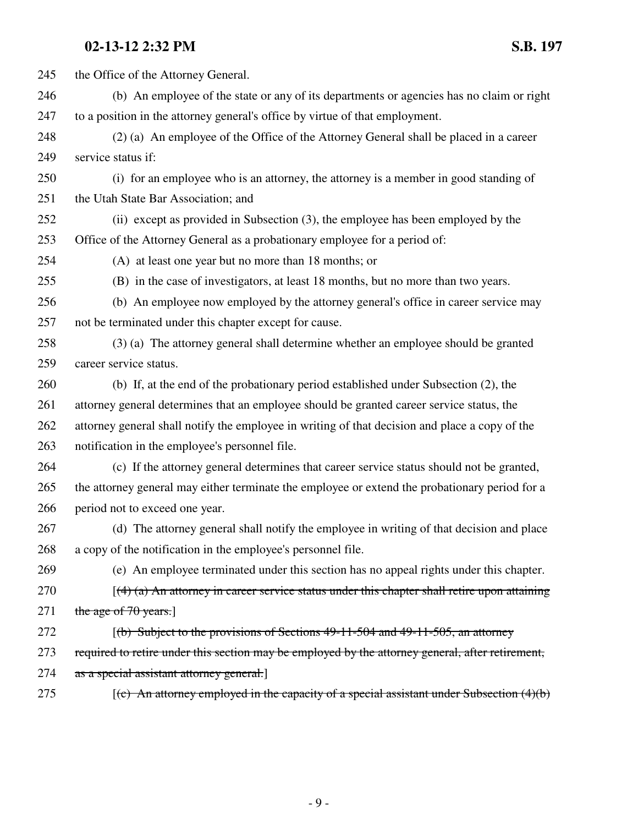245 the Office of the Attorney General. 246 (b) An employee of the state or any of its departments or agencies has no claim or right 247 to a position in the attorney general's office by virtue of that employment. 248 (2) (a) An employee of the Office of the Attorney General shall be placed in a career 249 service status if: 250 (i) for an employee who is an attorney, the attorney is a member in good standing of 251 the Utah State Bar Association; and 252 (ii) except as provided in Subsection (3), the employee has been employed by the 253 Office of the Attorney General as a probationary employee for a period of: 254 (A) at least one year but no more than 18 months; or 255 (B) in the case of investigators, at least 18 months, but no more than two years. 256 (b) An employee now employed by the attorney general's office in career service may 257 not be terminated under this chapter except for cause. 258 (3) (a) The attorney general shall determine whether an employee should be granted 259 career service status. 260 (b) If, at the end of the probationary period established under Subsection (2), the 261 attorney general determines that an employee should be granted career service status, the 262 attorney general shall notify the employee in writing of that decision and place a copy of the 263 notification in the employee's personnel file. 264 (c) If the attorney general determines that career service status should not be granted, 265 the attorney general may either terminate the employee or extend the probationary period for a 266 period not to exceed one year. 267 (d) The attorney general shall notify the employee in writing of that decision and place 268 a copy of the notification in the employee's personnel file. 269 (e) An employee terminated under this section has no appeal rights under this chapter. 270  $[(4)$  (a) An attorney in career service status under this chapter shall retire upon attaining 271 the age of 70 years.] 272 *(b)* Subject to the provisions of Sections 49-11-504 and 49-11-505, an attorney 273 required to retire under this section may be employed by the attorney general, after retirement, 274 as a special assistant attorney general. 275  $[(c)$  An attorney employed in the capacity of a special assistant under Subsection  $(4)(b)$